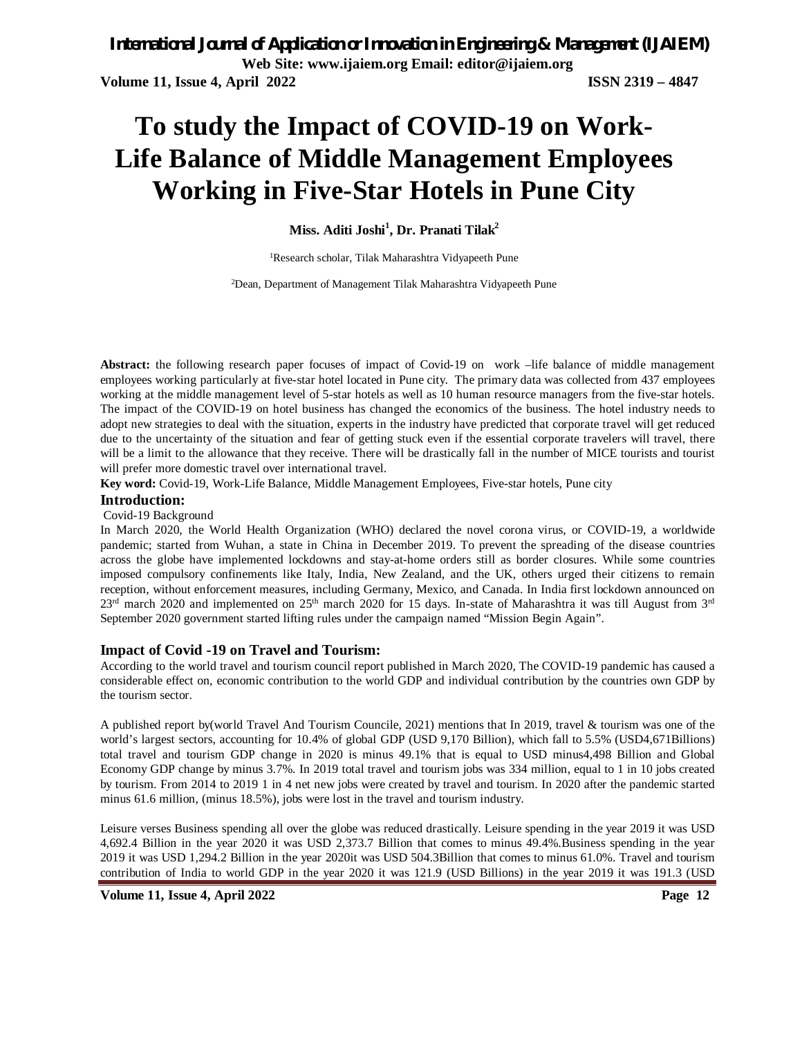# **To study the Impact of COVID-19 on Work-Life Balance of Middle Management Employees Working in Five-Star Hotels in Pune City**

**Miss. Aditi Joshi<sup>1</sup> , Dr. Pranati Tilak<sup>2</sup>**

<sup>1</sup>Research scholar, Tilak Maharashtra Vidyapeeth Pune

2Dean, Department of Management Tilak Maharashtra Vidyapeeth Pune

**Abstract:** the following research paper focuses of impact of Covid-19 on work –life balance of middle management employees working particularly at five-star hotel located in Pune city. The primary data was collected from 437 employees working at the middle management level of 5-star hotels as well as 10 human resource managers from the five-star hotels. The impact of the COVID-19 on hotel business has changed the economics of the business. The hotel industry needs to adopt new strategies to deal with the situation, experts in the industry have predicted that corporate travel will get reduced due to the uncertainty of the situation and fear of getting stuck even if the essential corporate travelers will travel, there will be a limit to the allowance that they receive. There will be drastically fall in the number of MICE tourists and tourist will prefer more domestic travel over international travel.

**Key word:** Covid-19, Work-Life Balance, Middle Management Employees, Five-star hotels, Pune city

#### **Introduction:**

Covid-19 Background

In March 2020, the World Health Organization (WHO) declared the novel corona virus, or COVID-19, a worldwide pandemic; started from Wuhan, a state in China in December 2019. To prevent the spreading of the disease countries across the globe have implemented lockdowns and stay-at-home orders still as border closures. While some countries imposed compulsory confinements like Italy, India, New Zealand, and the UK, others urged their citizens to remain reception, without enforcement measures, including Germany, Mexico, and Canada. In India first lockdown announced on  $23<sup>rd</sup>$  march 2020 and implemented on  $25<sup>th</sup>$  march 2020 for 15 days. In-state of Maharashtra it was till August from  $3<sup>rd</sup>$ September 2020 government started lifting rules under the campaign named "Mission Begin Again".

## **Impact of Covid -19 on Travel and Tourism:**

According to the world travel and tourism council report published in March 2020, The COVID-19 pandemic has caused a considerable effect on, economic contribution to the world GDP and individual contribution by the countries own GDP by the tourism sector.

A published report by(world Travel And Tourism Councile, 2021) mentions that In 2019, travel & tourism was one of the world's largest sectors, accounting for 10.4% of global GDP (USD 9,170 Billion), which fall to 5.5% (USD4,671Billions) total travel and tourism GDP change in 2020 is minus 49.1% that is equal to USD minus4,498 Billion and Global Economy GDP change by minus 3.7%. In 2019 total travel and tourism jobs was 334 million, equal to 1 in 10 jobs created by tourism. From 2014 to 2019 1 in 4 net new jobs were created by travel and tourism. In 2020 after the pandemic started minus 61.6 million, (minus 18.5%), jobs were lost in the travel and tourism industry.

Leisure verses Business spending all over the globe was reduced drastically. Leisure spending in the year 2019 it was USD 4,692.4 Billion in the year 2020 it was USD 2,373.7 Billion that comes to minus 49.4%.Business spending in the year 2019 it was USD 1,294.2 Billion in the year 2020it was USD 504.3Billion that comes to minus 61.0%. Travel and tourism contribution of India to world GDP in the year 2020 it was 121.9 (USD Billions) in the year 2019 it was 191.3 (USD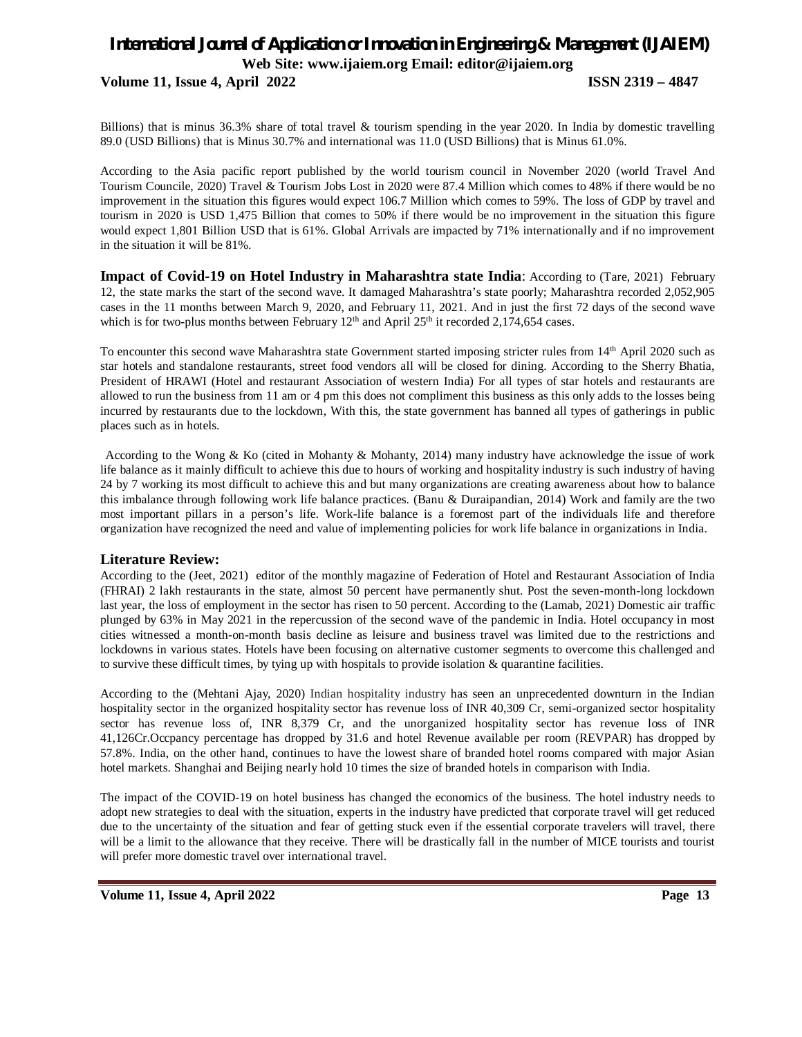## *International Journal of Application or Innovation in Engineering & Management (IJAIEM)* **Web Site: www.ijaiem.org Email: editor@ijaiem.org Volume 11, Issue 4, April 2022 ISSN 2319 – 4847**

Billions) that is minus 36.3% share of total travel & tourism spending in the year 2020. In India by domestic travelling 89.0 (USD Billions) that is Minus 30.7% and international was 11.0 (USD Billions) that is Minus 61.0%.

According to the Asia pacific report published by the world tourism council in November 2020 (world Travel And Tourism Councile, 2020) Travel & Tourism Jobs Lost in 2020 were 87.4 Million which comes to 48% if there would be no improvement in the situation this figures would expect 106.7 Million which comes to 59%. The loss of GDP by travel and tourism in 2020 is USD 1,475 Billion that comes to 50% if there would be no improvement in the situation this figure would expect 1,801 Billion USD that is 61%. Global Arrivals are impacted by 71% internationally and if no improvement in the situation it will be 81%.

**Impact of Covid-19 on Hotel Industry in Maharashtra state India:** According to (Tare, 2021) February 12, the state marks the start of the second wave. It damaged Maharashtra's state poorly; Maharashtra recorded 2,052,905 cases in the 11 months between March 9, 2020, and February 11, 2021. And in just the first 72 days of the second wave which is for two-plus months between February  $12<sup>th</sup>$  and April  $25<sup>th</sup>$  it recorded 2,174,654 cases.

To encounter this second wave Maharashtra state Government started imposing stricter rules from 14th April 2020 such as star hotels and standalone restaurants, street food vendors all will be closed for dining. According to the Sherry Bhatia, President of HRAWI (Hotel and restaurant Association of western India) For all types of star hotels and restaurants are allowed to run the business from 11 am or 4 pm this does not compliment this business as this only adds to the losses being incurred by restaurants due to the lockdown, With this, the state government has banned all types of gatherings in public places such as in hotels.

According to the Wong & Ko (cited in Mohanty & Mohanty, 2014) many industry have acknowledge the issue of work life balance as it mainly difficult to achieve this due to hours of working and hospitality industry is such industry of having 24 by 7 working its most difficult to achieve this and but many organizations are creating awareness about how to balance this imbalance through following work life balance practices. (Banu & Duraipandian, 2014) Work and family are the two most important pillars in a person's life. Work-life balance is a foremost part of the individuals life and therefore organization have recognized the need and value of implementing policies for work life balance in organizations in India.

## **Literature Review:**

According to the (Jeet, 2021) editor of the monthly magazine of Federation of Hotel and Restaurant Association of India (FHRAI) 2 lakh restaurants in the state, almost 50 percent have permanently shut. Post the seven-month-long lockdown last year, the loss of employment in the sector has risen to 50 percent. According to the (Lamab, 2021) Domestic air traffic plunged by 63% in May 2021 in the repercussion of the second wave of the pandemic in India. Hotel occupancy in most cities witnessed a month-on-month basis decline as leisure and business travel was limited due to the restrictions and lockdowns in various states. Hotels have been focusing on alternative customer segments to overcome this challenged and to survive these difficult times, by tying up with hospitals to provide isolation & quarantine facilities.

According to the (Mehtani Ajay, 2020) Indian hospitality industry has seen an unprecedented downturn in the Indian hospitality sector in the organized hospitality sector has revenue loss of INR 40,309 Cr, semi-organized sector hospitality sector has revenue loss of, INR 8,379 Cr, and the unorganized hospitality sector has revenue loss of INR 41,126Cr.Occpancy percentage has dropped by 31.6 and hotel Revenue available per room (REVPAR) has dropped by 57.8%. India, on the other hand, continues to have the lowest share of branded hotel rooms compared with major Asian hotel markets. Shanghai and Beijing nearly hold 10 times the size of branded hotels in comparison with India.

The impact of the COVID-19 on hotel business has changed the economics of the business. The hotel industry needs to adopt new strategies to deal with the situation, experts in the industry have predicted that corporate travel will get reduced due to the uncertainty of the situation and fear of getting stuck even if the essential corporate travelers will travel, there will be a limit to the allowance that they receive. There will be drastically fall in the number of MICE tourists and tourist will prefer more domestic travel over international travel.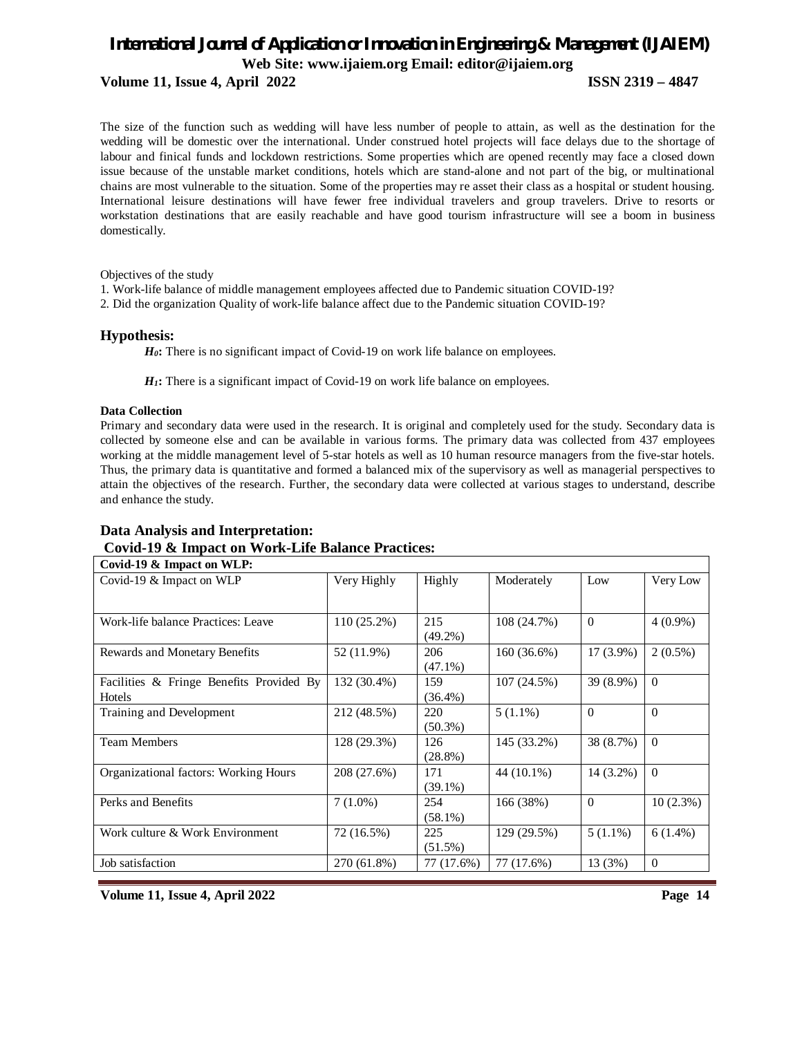## **Volume 11, Issue 4, April 2022 ISSN 2319 – 4847**

The size of the function such as wedding will have less number of people to attain, as well as the destination for the wedding will be domestic over the international. Under construed hotel projects will face delays due to the shortage of labour and finical funds and lockdown restrictions. Some properties which are opened recently may face a closed down issue because of the unstable market conditions, hotels which are stand-alone and not part of the big, or multinational chains are most vulnerable to the situation. Some of the properties may re asset their class as a hospital or student housing. International leisure destinations will have fewer free individual travelers and group travelers. Drive to resorts or workstation destinations that are easily reachable and have good tourism infrastructure will see a boom in business domestically.

Objectives of the study

1. Work-life balance of middle management employees affected due to Pandemic situation COVID-19?

2. Did the organization Quality of work-life balance affect due to the Pandemic situation COVID-19?

## **Hypothesis:**

H<sub>0</sub>: There is no significant impact of Covid-19 on work life balance on employees.

*H*<sub>1</sub>**:** There is a significant impact of Covid-19 on work life balance on employees.

#### **Data Collection**

Primary and secondary data were used in the research. It is original and completely used for the study. Secondary data is collected by someone else and can be available in various forms. The primary data was collected from 437 employees working at the middle management level of 5-star hotels as well as 10 human resource managers from the five-star hotels. Thus, the primary data is quantitative and formed a balanced mix of the supervisory as well as managerial perspectives to attain the objectives of the research. Further, the secondary data were collected at various stages to understand, describe and enhance the study.

## **Data Analysis and Interpretation: Covid-19 & Impact on Work-Life Balance Practices:**

| Covid-19 & Impact on WLP:                |               |            |             |             |                |
|------------------------------------------|---------------|------------|-------------|-------------|----------------|
| Covid-19 & Impact on WLP                 | Very Highly   | Highly     | Moderately  | Low         | Very Low       |
|                                          |               |            |             |             |                |
|                                          |               |            |             |             |                |
| Work-life balance Practices: Leave       | $110(25.2\%)$ | 215        | 108 (24.7%) | $\Omega$    | $4(0.9\%)$     |
|                                          |               | $(49.2\%)$ |             |             |                |
| <b>Rewards and Monetary Benefits</b>     | 52 (11.9%)    | 206        | 160 (36.6%) | $17(3.9\%)$ | $2(0.5\%)$     |
|                                          |               | $(47.1\%)$ |             |             |                |
| Facilities & Fringe Benefits Provided By | 132 (30.4%)   | 159        | 107(24.5%)  | 39 (8.9%)   | $\Omega$       |
| Hotels                                   |               | $(36.4\%)$ |             |             |                |
| Training and Development                 | 212 (48.5%)   | 220        | $5(1.1\%)$  | $\Omega$    | $\Omega$       |
|                                          |               | $(50.3\%)$ |             |             |                |
| <b>Team Members</b>                      | 128 (29.3%)   | 126        | 145 (33.2%) | 38 (8.7%)   | $\Omega$       |
|                                          |               | $(28.8\%)$ |             |             |                |
| Organizational factors: Working Hours    | 208 (27.6%)   | 171        | 44 (10.1%)  | 14 (3.2%)   | $\Omega$       |
|                                          |               | $(39.1\%)$ |             |             |                |
| Perks and Benefits                       | $7(1.0\%)$    | 254        | 166 (38%)   | $\Omega$    | $10(2.3\%)$    |
|                                          |               | $(58.1\%)$ |             |             |                |
| Work culture & Work Environment          | 72 (16.5%)    | 225        | 129 (29.5%) | $5(1.1\%)$  | $6(1.4\%)$     |
|                                          |               | $(51.5\%)$ |             |             |                |
| Job satisfaction                         | 270 (61.8%)   | 77 (17.6%) | 77 (17.6%)  | 13 (3%)     | $\overline{0}$ |
|                                          |               |            |             |             |                |

**Volume 11, Issue 4, April 2022 Page 14**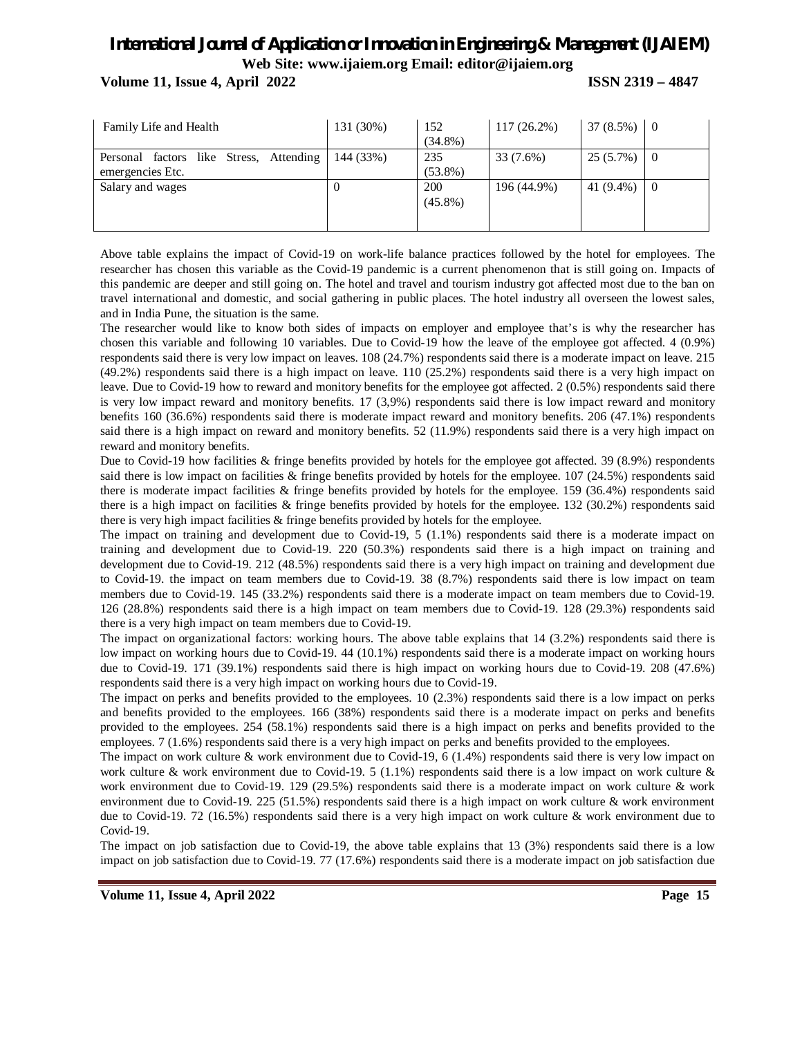**Volume 11, Issue 4, April 2022 ISSN 2319 – 4847**

| Family Life and Health                                         | 131 (30%) | 152<br>$(34.8\%)$ | $117(26.2\%)$ | $37(8.5\%)$ | $\overline{0}$ |
|----------------------------------------------------------------|-----------|-------------------|---------------|-------------|----------------|
| factors like Stress, Attending<br>Personal<br>emergencies Etc. | 144 (33%) | 235<br>$(53.8\%)$ | 33(7.6%)      | 25 (5.7%)   | O              |
| Salary and wages                                               |           | 200<br>$(45.8\%)$ | 196 (44.9%)   | 41 (9.4%)   | $\overline{0}$ |

Above table explains the impact of Covid-19 on work-life balance practices followed by the hotel for employees. The researcher has chosen this variable as the Covid-19 pandemic is a current phenomenon that is still going on. Impacts of this pandemic are deeper and still going on. The hotel and travel and tourism industry got affected most due to the ban on travel international and domestic, and social gathering in public places. The hotel industry all overseen the lowest sales, and in India Pune, the situation is the same.

The researcher would like to know both sides of impacts on employer and employee that's is why the researcher has chosen this variable and following 10 variables. Due to Covid-19 how the leave of the employee got affected. 4 (0.9%) respondents said there is very low impact on leaves. 108 (24.7%) respondents said there is a moderate impact on leave. 215 (49.2%) respondents said there is a high impact on leave. 110 (25.2%) respondents said there is a very high impact on leave. Due to Covid-19 how to reward and monitory benefits for the employee got affected. 2 (0.5%) respondents said there is very low impact reward and monitory benefits. 17 (3,9%) respondents said there is low impact reward and monitory benefits 160 (36.6%) respondents said there is moderate impact reward and monitory benefits. 206 (47.1%) respondents said there is a high impact on reward and monitory benefits. 52 (11.9%) respondents said there is a very high impact on reward and monitory benefits.

Due to Covid-19 how facilities & fringe benefits provided by hotels for the employee got affected. 39 (8.9%) respondents said there is low impact on facilities & fringe benefits provided by hotels for the employee. 107 (24.5%) respondents said there is moderate impact facilities & fringe benefits provided by hotels for the employee. 159 (36.4%) respondents said there is a high impact on facilities & fringe benefits provided by hotels for the employee. 132 (30.2%) respondents said there is very high impact facilities & fringe benefits provided by hotels for the employee.

The impact on training and development due to Covid-19, 5 (1.1%) respondents said there is a moderate impact on training and development due to Covid-19. 220 (50.3%) respondents said there is a high impact on training and development due to Covid-19. 212 (48.5%) respondents said there is a very high impact on training and development due to Covid-19. the impact on team members due to Covid-19. 38 (8.7%) respondents said there is low impact on team members due to Covid-19. 145 (33.2%) respondents said there is a moderate impact on team members due to Covid-19. 126 (28.8%) respondents said there is a high impact on team members due to Covid-19. 128 (29.3%) respondents said there is a very high impact on team members due to Covid-19.

The impact on organizational factors: working hours. The above table explains that 14 (3.2%) respondents said there is low impact on working hours due to Covid-19. 44 (10.1%) respondents said there is a moderate impact on working hours due to Covid-19. 171 (39.1%) respondents said there is high impact on working hours due to Covid-19. 208 (47.6%) respondents said there is a very high impact on working hours due to Covid-19.

The impact on perks and benefits provided to the employees. 10 (2.3%) respondents said there is a low impact on perks and benefits provided to the employees. 166 (38%) respondents said there is a moderate impact on perks and benefits provided to the employees. 254 (58.1%) respondents said there is a high impact on perks and benefits provided to the employees. 7 (1.6%) respondents said there is a very high impact on perks and benefits provided to the employees.

The impact on work culture & work environment due to Covid-19, 6 (1.4%) respondents said there is very low impact on work culture & work environment due to Covid-19. 5 (1.1%) respondents said there is a low impact on work culture  $\&$ work environment due to Covid-19. 129 (29.5%) respondents said there is a moderate impact on work culture & work environment due to Covid-19. 225 (51.5%) respondents said there is a high impact on work culture & work environment due to Covid-19. 72 (16.5%) respondents said there is a very high impact on work culture & work environment due to Covid-19.

The impact on job satisfaction due to Covid-19, the above table explains that 13 (3%) respondents said there is a low impact on job satisfaction due to Covid-19. 77 (17.6%) respondents said there is a moderate impact on job satisfaction due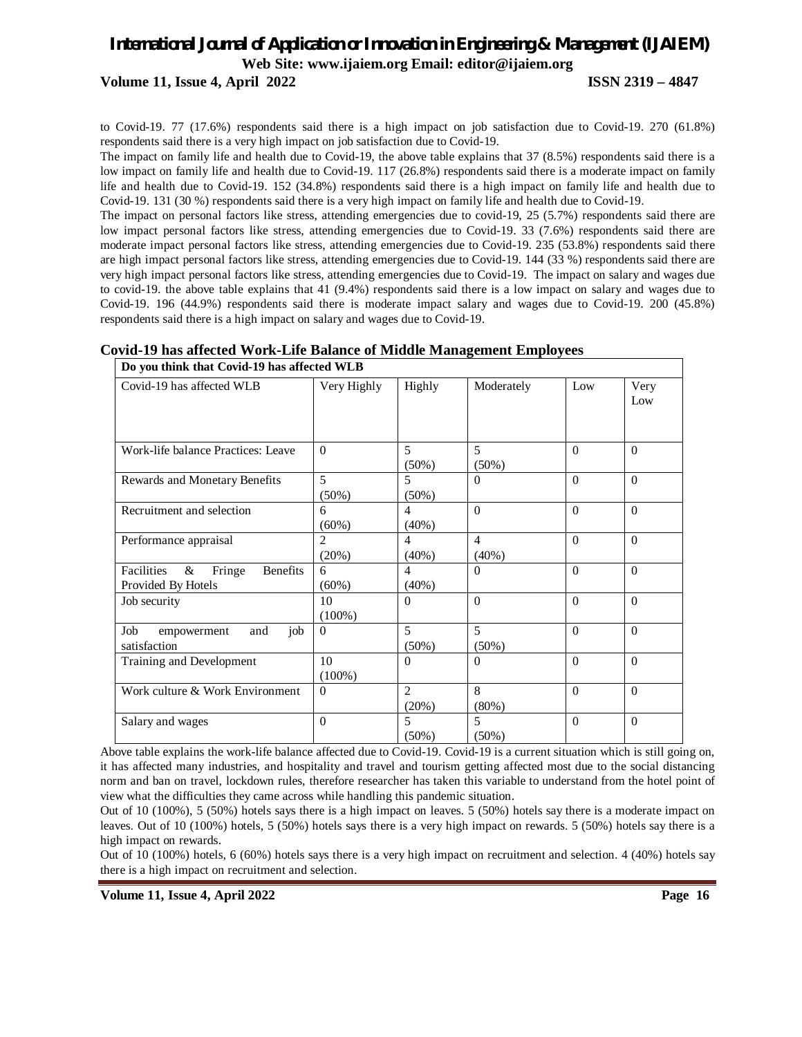## *International Journal of Application or Innovation in Engineering & Management (IJAIEM)* **Web Site: www.ijaiem.org Email: editor@ijaiem.org Volume 11, Issue 4, April 2022 ISSN 2319 – 4847**

to Covid-19. 77 (17.6%) respondents said there is a high impact on job satisfaction due to Covid-19. 270 (61.8%) respondents said there is a very high impact on job satisfaction due to Covid-19.

The impact on family life and health due to Covid-19, the above table explains that 37 (8.5%) respondents said there is a low impact on family life and health due to Covid-19. 117 (26.8%) respondents said there is a moderate impact on family life and health due to Covid-19. 152 (34.8%) respondents said there is a high impact on family life and health due to Covid-19. 131 (30 %) respondents said there is a very high impact on family life and health due to Covid-19.

The impact on personal factors like stress, attending emergencies due to covid-19, 25 (5.7%) respondents said there are low impact personal factors like stress, attending emergencies due to Covid-19. 33 (7.6%) respondents said there are moderate impact personal factors like stress, attending emergencies due to Covid-19. 235 (53.8%) respondents said there are high impact personal factors like stress, attending emergencies due to Covid-19. 144 (33 %) respondents said there are very high impact personal factors like stress, attending emergencies due to Covid-19. The impact on salary and wages due to covid-19. the above table explains that 41 (9.4%) respondents said there is a low impact on salary and wages due to Covid-19. 196 (44.9%) respondents said there is moderate impact salary and wages due to Covid-19. 200 (45.8%) respondents said there is a high impact on salary and wages due to Covid-19.

| <b>Covid-19 has affected Work-Life Balance of Middle Management Employees</b> |
|-------------------------------------------------------------------------------|
|-------------------------------------------------------------------------------|

| Do you think that Covid-19 has allected web                               |                         |                                      |                            |          |             |
|---------------------------------------------------------------------------|-------------------------|--------------------------------------|----------------------------|----------|-------------|
| Covid-19 has affected WLB                                                 | Very Highly             | Highly                               | Moderately                 | Low      | Very<br>Low |
|                                                                           |                         |                                      |                            |          |             |
| Work-life balance Practices: Leave                                        | $\Omega$                | 5<br>$(50\%)$                        | 5<br>$(50\%)$              | $\Omega$ | $\Omega$    |
| Rewards and Monetary Benefits                                             | 5<br>$(50\%)$           | 5<br>$(50\%)$                        | $\Omega$                   | $\Omega$ | $\Omega$    |
| Recruitment and selection                                                 | 6<br>(60%)              | $\overline{4}$<br>(40%)              | $\Omega$                   | $\Omega$ | $\Omega$    |
| Performance appraisal                                                     | $\mathfrak{D}$<br>(20%) | $\overline{4}$<br>$(40\%)$           | $\overline{4}$<br>$(40\%)$ | $\Omega$ | $\Omega$    |
| &<br><b>Benefits</b><br><b>Facilities</b><br>Fringe<br>Provided By Hotels | 6<br>(60%)              | $\overline{4}$<br>$(40\%)$           | $\theta$                   | $\Omega$ | $\Omega$    |
| Job security                                                              | 10<br>$(100\%)$         | $\Omega$                             | $\Omega$                   | $\Omega$ | $\Omega$    |
| Job<br>job<br>and<br>empowerment<br>satisfaction                          | $\Omega$                | $\overline{5}$<br>$(50\%)$           | $\overline{5}$<br>$(50\%)$ | $\Omega$ | $\Omega$    |
| Training and Development                                                  | 10<br>$(100\%)$         | $\Omega$                             | $\Omega$                   | $\Omega$ | $\Omega$    |
| Work culture & Work Environment                                           | $\Omega$                | $\mathcal{D}_{\mathcal{L}}$<br>(20%) | 8<br>$(80\%)$              | $\Omega$ | $\Omega$    |
| Salary and wages                                                          | $\Omega$                | 5<br>(50%)                           | 5<br>$(50\%)$              | $\Omega$ | $\Omega$    |

Do you think that Covid-10 has affected WLB

Above table explains the work-life balance affected due to Covid-19. Covid-19 is a current situation which is still going on, it has affected many industries, and hospitality and travel and tourism getting affected most due to the social distancing norm and ban on travel, lockdown rules, therefore researcher has taken this variable to understand from the hotel point of view what the difficulties they came across while handling this pandemic situation.

Out of 10 (100%), 5 (50%) hotels says there is a high impact on leaves. 5 (50%) hotels say there is a moderate impact on leaves. Out of 10 (100%) hotels, 5 (50%) hotels says there is a very high impact on rewards. 5 (50%) hotels say there is a high impact on rewards.

Out of 10 (100%) hotels, 6 (60%) hotels says there is a very high impact on recruitment and selection. 4 (40%) hotels say there is a high impact on recruitment and selection.

**Volume 11, Issue 4, April 2022 Page 16**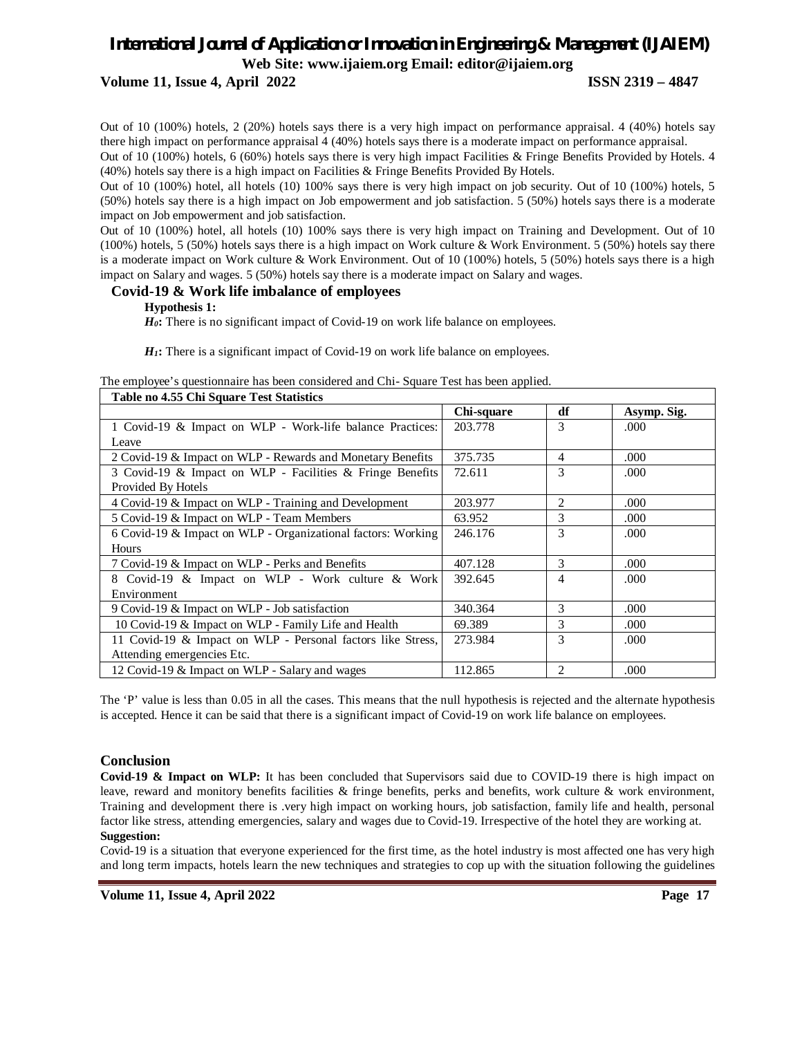**Volume 11, Issue 4, April 2022 ISSN 2319 – 4847**

Out of 10 (100%) hotels, 2 (20%) hotels says there is a very high impact on performance appraisal. 4 (40%) hotels say there high impact on performance appraisal 4 (40%) hotels says there is a moderate impact on performance appraisal.

Out of 10 (100%) hotels, 6 (60%) hotels says there is very high impact Facilities & Fringe Benefits Provided by Hotels. 4 (40%) hotels say there is a high impact on Facilities & Fringe Benefits Provided By Hotels.

Out of 10 (100%) hotel, all hotels (10) 100% says there is very high impact on job security. Out of 10 (100%) hotels, 5 (50%) hotels say there is a high impact on Job empowerment and job satisfaction. 5 (50%) hotels says there is a moderate impact on Job empowerment and job satisfaction.

Out of 10 (100%) hotel, all hotels (10) 100% says there is very high impact on Training and Development. Out of 10 (100%) hotels, 5 (50%) hotels says there is a high impact on Work culture & Work Environment. 5 (50%) hotels say there is a moderate impact on Work culture & Work Environment. Out of 10 (100%) hotels, 5 (50%) hotels says there is a high impact on Salary and wages. 5 (50%) hotels say there is a moderate impact on Salary and wages.

## **Covid-19 & Work life imbalance of employees**

## **Hypothesis 1:**

*H*<sub>0</sub>**:** There is no significant impact of Covid-19 on work life balance on employees.

*H1***:** There is a significant impact of Covid-19 on work life balance on employees.

| Table no 4.55 Chi Square Test Statistics                     |            |                |             |  |  |
|--------------------------------------------------------------|------------|----------------|-------------|--|--|
|                                                              | Chi-square | df             | Asymp. Sig. |  |  |
| 1 Covid-19 & Impact on WLP - Work-life balance Practices:    | 203.778    | 3              | .000        |  |  |
| Leave                                                        |            |                |             |  |  |
| 2 Covid-19 & Impact on WLP - Rewards and Monetary Benefits   | 375.735    | 4              | .000        |  |  |
| 3 Covid-19 & Impact on WLP - Facilities & Fringe Benefits    | 72.611     | 3              | .000        |  |  |
| Provided By Hotels                                           |            |                |             |  |  |
| 4 Covid-19 & Impact on WLP - Training and Development        | 203.977    | $\mathfrak{D}$ | .000        |  |  |
| 5 Covid-19 & Impact on WLP - Team Members                    | 63.952     | $\mathcal{L}$  | .000        |  |  |
| 6 Covid-19 & Impact on WLP - Organizational factors: Working | 246.176    | 3              | .000        |  |  |
| <b>Hours</b>                                                 |            |                |             |  |  |
| 7 Covid-19 & Impact on WLP - Perks and Benefits              | 407.128    | 3              | .000        |  |  |
| 8 Covid-19 & Impact on WLP - Work culture & Work             | 392.645    | 4              | .000        |  |  |
| Environment                                                  |            |                |             |  |  |
| 9 Covid-19 & Impact on WLP - Job satisfaction                | 340.364    | 3              | .000        |  |  |
| 10 Covid-19 & Impact on WLP - Family Life and Health         | 69.389     | 3              | .000        |  |  |
| 11 Covid-19 & Impact on WLP - Personal factors like Stress,  | 273.984    | 3              | .000        |  |  |
| Attending emergencies Etc.                                   |            |                |             |  |  |
| 12 Covid-19 & Impact on WLP - Salary and wages               | 112.865    | 2              | .000        |  |  |

The employee's questionnaire has been considered and Chi- Square Test has been applied.

The 'P' value is less than 0.05 in all the cases. This means that the null hypothesis is rejected and the alternate hypothesis is accepted. Hence it can be said that there is a significant impact of Covid-19 on work life balance on employees.

## **Conclusion**

**Covid-19 & Impact on WLP:** It has been concluded that Supervisors said due to COVID-19 there is high impact on leave, reward and monitory benefits facilities & fringe benefits, perks and benefits, work culture & work environment, Training and development there is .very high impact on working hours, job satisfaction, family life and health, personal factor like stress, attending emergencies, salary and wages due to Covid-19. Irrespective of the hotel they are working at. **Suggestion:**

Covid-19 is a situation that everyone experienced for the first time, as the hotel industry is most affected one has very high and long term impacts, hotels learn the new techniques and strategies to cop up with the situation following the guidelines